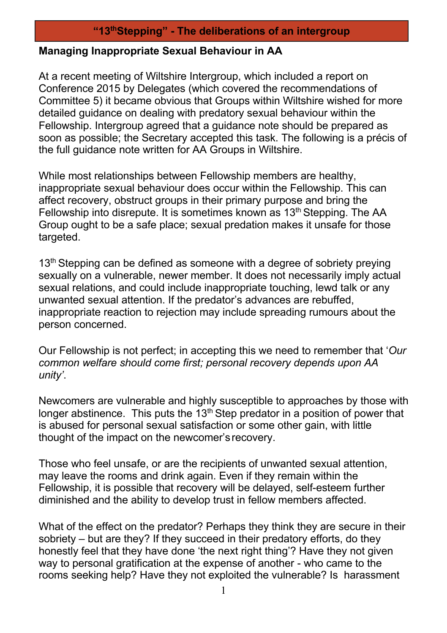## **"13thStepping" - The deliberations of an intergroup**

## **Managing Inappropriate Sexual Behaviour in AA**

At a recent meeting of Wiltshire Intergroup, which included a report on Conference 2015 by Delegates (which covered the recommendations of Committee 5) it became obvious that Groups within Wiltshire wished for more detailed guidance on dealing with predatory sexual behaviour within the Fellowship. Intergroup agreed that a guidance note should be prepared as soon as possible; the Secretary accepted this task. The following is a précis of the full guidance note written for AA Groups in Wiltshire.

While most relationships between Fellowship members are healthy, inappropriate sexual behaviour does occur within the Fellowship. This can affect recovery, obstruct groups in their primary purpose and bring the Fellowship into disrepute. It is sometimes known as 13th Stepping. The AA Group ought to be a safe place; sexual predation makes it unsafe for those targeted.

13<sup>th</sup> Stepping can be defined as someone with a degree of sobriety preying sexually on a vulnerable, newer member. It does not necessarily imply actual sexual relations, and could include inappropriate touching, lewd talk or any unwanted sexual attention. If the predator's advances are rebuffed, inappropriate reaction to rejection may include spreading rumours about the person concerned.

Our Fellowship is not perfect; in accepting this we need to remember that '*Our common welfare should come first; personal recovery depends upon AA unity'*.

Newcomers are vulnerable and highly susceptible to approaches by those with longer abstinence. This puts the  $13<sup>th</sup>$  Step predator in a position of power that is abused for personal sexual satisfaction or some other gain, with little thought of the impact on the newcomer's recovery.

Those who feel unsafe, or are the recipients of unwanted sexual attention, may leave the rooms and drink again. Even if they remain within the Fellowship, it is possible that recovery will be delayed, self-esteem further diminished and the ability to develop trust in fellow members affected.

What of the effect on the predator? Perhaps they think they are secure in their sobriety – but are they? If they succeed in their predatory efforts, do they honestly feel that they have done 'the next right thing'? Have they not given way to personal gratification at the expense of another - who came to the rooms seeking help? Have they not exploited the vulnerable? Is harassment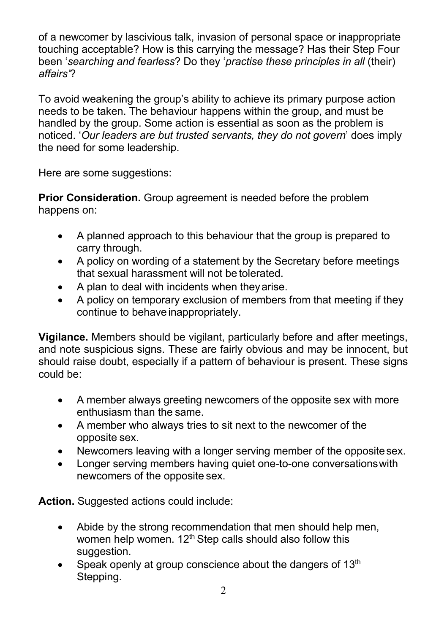of a newcomer by lascivious talk, invasion of personal space or inappropriate touching acceptable? How is this carrying the message? Has their Step Four been '*searching and fearless*? Do they '*practise these principles in all* (their) *affairs'*?

To avoid weakening the group's ability to achieve its primary purpose action needs to be taken. The behaviour happens within the group, and must be handled by the group. Some action is essential as soon as the problem is noticed. '*Our leaders are but trusted servants, they do not govern*' does imply the need for some leadership.

Here are some suggestions:

**Prior Consideration.** Group agreement is needed before the problem happens on:

- A planned approach to this behaviour that the group is prepared to carry through.
- A policy on wording of a statement by the Secretary before meetings that sexual harassment will not be tolerated.
- A plan to deal with incidents when theyarise.
- A policy on temporary exclusion of members from that meeting if they continue to behave inappropriately.

**Vigilance.** Members should be vigilant, particularly before and after meetings, and note suspicious signs. These are fairly obvious and may be innocent, but should raise doubt, especially if a pattern of behaviour is present. These signs could be:

- A member always greeting newcomers of the opposite sex with more enthusiasm than the same.
- A member who always tries to sit next to the newcomer of the opposite sex.
- Newcomers leaving with a longer serving member of the opposite sex.
- Longer serving members having quiet one-to-one conversationswith newcomers of the opposite sex.

**Action.** Suggested actions could include:

- Abide by the strong recommendation that men should help men, women help women. 12<sup>th</sup> Step calls should also follow this suggestion.
- Speak openly at group conscience about the dangers of  $13<sup>th</sup>$ Stepping.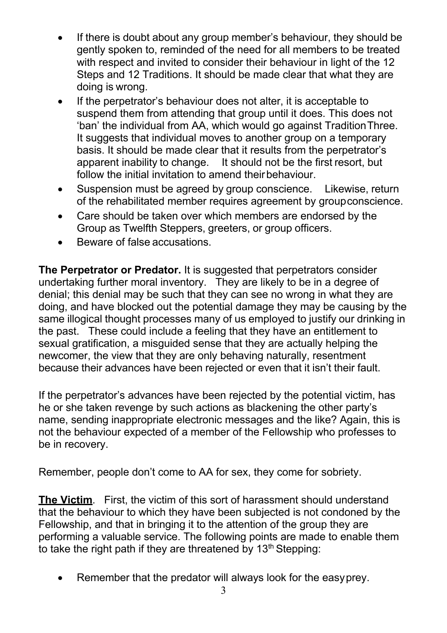- If there is doubt about any group member's behaviour, they should be gently spoken to, reminded of the need for all members to be treated with respect and invited to consider their behaviour in light of the 12 Steps and 12 Traditions. It should be made clear that what they are doing is wrong.
- If the perpetrator's behaviour does not alter, it is acceptable to suspend them from attending that group until it does. This does not 'ban' the individual from AA, which would go against TraditionThree. It suggests that individual moves to another group on a temporary basis. It should be made clear that it results from the perpetrator's apparent inability to change. It should not be the first resort, but follow the initial invitation to amend their behaviour.
- Suspension must be agreed by group conscience. Likewise, return of the rehabilitated member requires agreement by groupconscience.
- Care should be taken over which members are endorsed by the Group as Twelfth Steppers, greeters, or group officers.
- Beware of false accusations.

**The Perpetrator or Predator.** It is suggested that perpetrators consider undertaking further moral inventory. They are likely to be in a degree of denial; this denial may be such that they can see no wrong in what they are doing, and have blocked out the potential damage they may be causing by the same illogical thought processes many of us employed to justify our drinking in the past. These could include a feeling that they have an entitlement to sexual gratification, a misquided sense that they are actually helping the newcomer, the view that they are only behaving naturally, resentment because their advances have been rejected or even that it isn't their fault.

If the perpetrator's advances have been rejected by the potential victim, has he or she taken revenge by such actions as blackening the other party's name, sending inappropriate electronic messages and the like? Again, this is not the behaviour expected of a member of the Fellowship who professes to be in recovery.

Remember, people don't come to AA for sex, they come for sobriety.

**The Victim**. First, the victim of this sort of harassment should understand that the behaviour to which they have been subjected is not condoned by the Fellowship, and that in bringing it to the attention of the group they are performing a valuable service. The following points are made to enable them to take the right path if they are threatened by  $13<sup>th</sup>$  Stepping:

• Remember that the predator will always look for the easyprey.